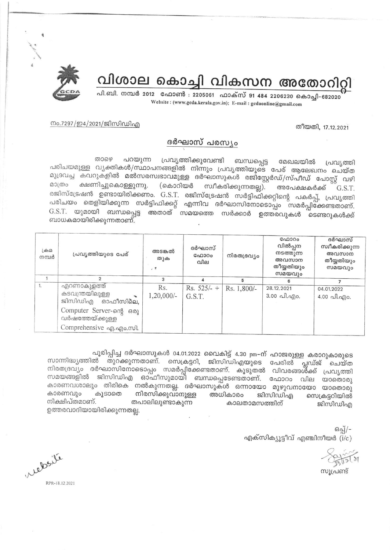

# വിശാല കൊച്ചി വികസന അതോറിറ്റി

പി.ബി. നമ്പർ 2012 ഫോൺ : 2205061 ഫാക്സ് 91 484 2206230 കൊച്ചി-682020 Website: (www.gcda.kerala.gov.in); E-mail: gcdaonline@gmail.com

### നം.7297/ഇ4/2021/ജിസിഡിഎ

### തീയതി, 17.12.2021

### ദർഘാസ് പരസ്യം

പ്രവൃത്തിക്കുവേണ്ടി ബന്ധപ്പെട്ട താഴെ പറയുന്ന മേഖലയിൽ പ്രവ്യത്തി പരിചയമുള്ള വൃക്തികൾ/സ്ഥാപനങ്ങളിൽ നിന്നും പ്രവൃത്തിയുടെ പേര് ആലേഖനം ചെയ്ത മുദ്രവച്ച കവറുകളിൽ മൽസരസ്വഭാവമുള്ള ദർഘാസുകൾ രജിസ്റ്റേർഡ്/സ്പീഡ് പോസ്റ്റ് വഴി മാത്രം ക്ഷണിച്ചുകൊള്ളുന്നു. സ്ഥീകരിക്കുന്നതല്ല). (കൊറിയർ അപേക്ഷകർക്ക് G.S.T. രജിസ്ട്രേഷൻ ഉണ്ടായിരിക്കണം. G.S.T. രജിസ്ട്രേഷൻ സർട്ടിഫിക്കറ്റിന്റെ പകർപ്പ്, പ്രവൃത്തി പരിചയം തെളിയിക്കുന്ന സർട്ടിഫിക്കറ്റ് എന്നിവ ദർഘാസിനോടൊപ്പം സമർപ്പിക്കേണ്ടതാണ്. G.S.T. യുമായി ബന്ധപ്പെട്ട അതാത് സമയത്തെ സർക്കാർ ഉത്തരവുകൾ ടെണ്ടറുകൾക്ക് ബാധകമായിരിക്കുന്നതാണ്.

| $L \oplus \Omega$<br>നമ്പർ | പ്രവൃത്തിയുടെ പേര്                                    | അടങ്കൽ<br>തുക<br>计算 | ദർഘാസ്<br>GAD300<br>വില | നിരതദ്രവ്യം | ഫോറം<br>വിൽപ്പന<br>നടത്തുന്ന<br>അവസാന<br>തീയ്യതിയും<br>സമയവും | ദർഘാസ്<br>സ്വീകരിക്കുന്ന<br>അവസാന<br>തീയ്യതിയും<br>സമയവും |
|----------------------------|-------------------------------------------------------|---------------------|-------------------------|-------------|---------------------------------------------------------------|-----------------------------------------------------------|
|                            |                                                       | 3                   | Δ                       | 5           |                                                               |                                                           |
| $\mathbf{1}$               | എറണാകുളത്ത്<br>കടവന്ത്രയിലുള്ള<br>ജിസിഡിഎ<br>ഓഫീസിലെ. | Rs.<br>$1,20,000/-$ | $Rs. 525/- +$<br>G.S.T. | Rs. 1,800/- | 28.12.2021<br>3.00 പി.എo.                                     | 04.01.2022<br>4.00 പി.എo.                                 |
|                            | Computer Server-ong 602<br>വർഷത്തേയ്ക്കുള്ള           |                     |                         |             |                                                               |                                                           |
|                            | Comprehensive ag.ago.mol.                             |                     |                         |             |                                                               |                                                           |

പൂരിപ്പിച്ച ദർഘാസുകൾ 04.01.2022 വൈകിട്ട് 4.30 pm-ന് ഹാജരുള്ള കരാറുകാരുടെ സാന്നിദ്ധ്യത്തിൽ തുറക്കുന്നതാണ്. സെക്രട്ടറി, ജിസിഡിഎയുടെ പേരിൽ പ്ലഡ്ജ് ചെയ്ത നിരതദ്രവ്യം ദർഘാസിനോടൊപ്പം സമർപ്പിക്കേണ്ടതാണ്. കൂടുതൽ വിവരങ്ങൾക്ക് പ്രവൃത്തി സമയങ്ങളിൽ ജിസിഡിഎ ഓഫീസുമായി ബന്ധപ്പെടേണ്ടതാണ്. ഫോറം വില യാതൊരു കാരണവശാലും തിരികെ നൽകുന്നതല്ല. ദർഘാസുകൾ ഒന്നായോ മുഴുവനായോ യാതൊരു കാരണവും കൂടാതെ നിരസിക്കുവാനുള്ള അധികാരം ജിസിഡിഎ സെക്രട്ടറിയിൽ നിക്ഷിപ്തമാണ്. തപാലിലുണ്ടാകുന്ന കാലതാമസത്തിന് ജിസിഡിഎ ഉത്തരവാദിയായിരിക്കുന്നതല്ല.

> ഒപ്പ്/-എക്സിക്യൂട്ടീവ് എഞ്ചിനീയർ  $(i/c)$

സുപ്രണ്ട്

relation

RPR-18.12.2021